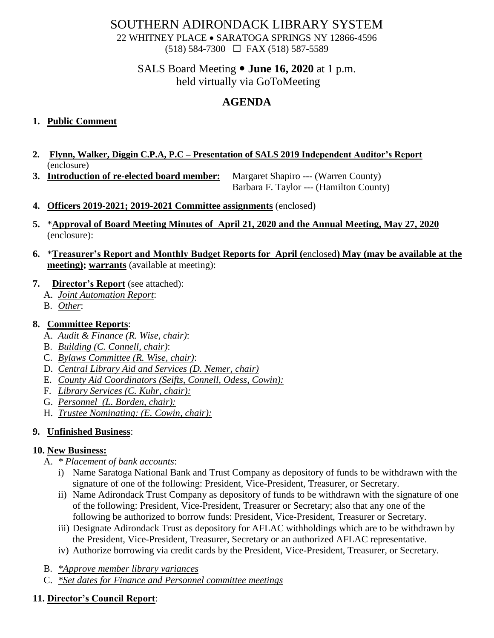# SOUTHERN ADIRONDACK LIBRARY SYSTEM

22 WHITNEY PLACE • SARATOGA SPRINGS NY 12866-4596 (518) 584-7300 FAX (518) 587-5589

### SALS Board Meeting **June 16, 2020** at 1 p.m. held virtually via GoToMeeting

# **AGENDA**

### **1. Public Comment**

- **2. Flynn, Walker, Diggin C.P.A, P.C – Presentation of SALS 2019 Independent Auditor's Report** (enclosure)
- **3. Introduction of re-elected board member:** Margaret Shapiro --- (Warren County)

Barbara F. Taylor --- (Hamilton County)

- **4. Officers 2019-2021; 2019-2021 Committee assignments** (enclosed)
- **5.** \***Approval of Board Meeting Minutes of April 21, 2020 and the Annual Meeting, May 27, 2020** (enclosure):
- **6.** \***Treasurer's Report and Monthly Budget Reports for April (**enclosed**) May (may be available at the meeting); warrants** (available at meeting):

#### **7. Director's Report** (see attached):

- A. *Joint Automation Report*:
- B. *Other*:

### **8. Committee Reports**:

- A. *Audit & Finance (R. Wise, chair)*:
- B. *Building (C. Connell, chair)*:
- C. *Bylaws Committee (R. Wise, chair)*:
- D. *Central Library Aid and Services (D. Nemer, chair)*
- E. *County Aid Coordinators (Seifts, Connell, Odess, Cowin):*
- F. *Library Services (C. Kuhr, chair):*
- G. *Personnel (L. Borden, chair):*
- H. *Trustee Nominating: (E. Cowin, chair):*

#### **9. Unfinished Business**:

#### **10. New Business:**

- A. *\* Placement of bank accounts*:
	- i) Name Saratoga National Bank and Trust Company as depository of funds to be withdrawn with the signature of one of the following: President, Vice-President, Treasurer, or Secretary.
	- ii) Name Adirondack Trust Company as depository of funds to be withdrawn with the signature of one of the following: President, Vice-President, Treasurer or Secretary; also that any one of the following be authorized to borrow funds: President, Vice-President, Treasurer or Secretary.
	- iii) Designate Adirondack Trust as depository for AFLAC withholdings which are to be withdrawn by the President, Vice-President, Treasurer, Secretary or an authorized AFLAC representative.
	- iv) Authorize borrowing via credit cards by the President, Vice-President, Treasurer, or Secretary.
- B. *\*Approve member library variances*
- C. *\*Set dates for Finance and Personnel committee meetings*

## **11. Director's Council Report**: